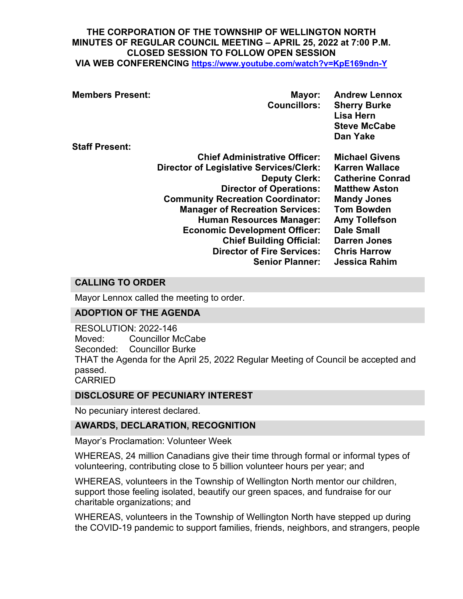#### **THE CORPORATION OF THE TOWNSHIP OF WELLINGTON NORTH MINUTES OF REGULAR COUNCIL MEETING – APRIL 25, 2022 at 7:00 P.M. CLOSED SESSION TO FOLLOW OPEN SESSION VIA WEB CONFERENCING <https://www.youtube.com/watch?v=KpE169ndn-Y>**

| <b>Members Present:</b> | Mayor:<br><b>Councillors:</b>                  | <b>Andrew Lennox</b><br><b>Sherry Burke</b><br><b>Lisa Hern</b><br><b>Steve McCabe</b><br>Dan Yake |
|-------------------------|------------------------------------------------|----------------------------------------------------------------------------------------------------|
| <b>Staff Present:</b>   |                                                |                                                                                                    |
|                         | <b>Chief Administrative Officer:</b>           | <b>Michael Givens</b>                                                                              |
|                         | <b>Director of Legislative Services/Clerk:</b> | <b>Karren Wallace</b>                                                                              |
|                         | <b>Deputy Clerk:</b>                           | <b>Catherine Conrad</b>                                                                            |
|                         | <b>Director of Operations:</b>                 | <b>Matthew Aston</b>                                                                               |
|                         | <b>Community Recreation Coordinator:</b>       | <b>Mandy Jones</b>                                                                                 |
|                         | <b>Manager of Recreation Services:</b>         | <b>Tom Bowden</b>                                                                                  |
|                         | <b>Human Resources Manager:</b>                | <b>Amy Tollefson</b>                                                                               |
|                         | <b>Economic Development Officer:</b>           | <b>Dale Small</b>                                                                                  |
|                         | <b>Chief Building Official:</b>                | <b>Darren Jones</b>                                                                                |
|                         | <b>Director of Fire Services:</b>              | <b>Chris Harrow</b>                                                                                |
|                         | <b>Senior Planner:</b>                         | Jessica Rahim                                                                                      |

# **CALLING TO ORDER**

Mayor Lennox called the meeting to order.

### **ADOPTION OF THE AGENDA**

RESOLUTION: 2022-146 Moved: Councillor McCabe Seconded: Councillor Burke THAT the Agenda for the April 25, 2022 Regular Meeting of Council be accepted and passed. CARRIED

### **DISCLOSURE OF PECUNIARY INTEREST**

No pecuniary interest declared.

### **AWARDS, DECLARATION, RECOGNITION**

Mayor's Proclamation: Volunteer Week

WHEREAS, 24 million Canadians give their time through formal or informal types of volunteering, contributing close to 5 billion volunteer hours per year; and

WHEREAS, volunteers in the Township of Wellington North mentor our children, support those feeling isolated, beautify our green spaces, and fundraise for our charitable organizations; and

WHEREAS, volunteers in the Township of Wellington North have stepped up during the COVID-19 pandemic to support families, friends, neighbors, and strangers, people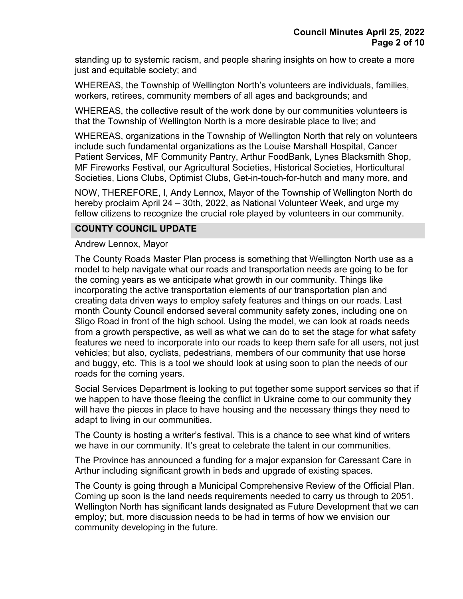standing up to systemic racism, and people sharing insights on how to create a more just and equitable society; and

WHEREAS, the Township of Wellington North's volunteers are individuals, families, workers, retirees, community members of all ages and backgrounds; and

WHEREAS, the collective result of the work done by our communities volunteers is that the Township of Wellington North is a more desirable place to live; and

WHEREAS, organizations in the Township of Wellington North that rely on volunteers include such fundamental organizations as the Louise Marshall Hospital, Cancer Patient Services, MF Community Pantry, Arthur FoodBank, Lynes Blacksmith Shop, MF Fireworks Festival, our Agricultural Societies, Historical Societies, Horticultural Societies, Lions Clubs, Optimist Clubs, Get-in-touch-for-hutch and many more, and

NOW, THEREFORE, I, Andy Lennox, Mayor of the Township of Wellington North do hereby proclaim April 24 – 30th, 2022, as National Volunteer Week, and urge my fellow citizens to recognize the crucial role played by volunteers in our community.

### **COUNTY COUNCIL UPDATE**

Andrew Lennox, Mayor

The County Roads Master Plan process is something that Wellington North use as a model to help navigate what our roads and transportation needs are going to be for the coming years as we anticipate what growth in our community. Things like incorporating the active transportation elements of our transportation plan and creating data driven ways to employ safety features and things on our roads. Last month County Council endorsed several community safety zones, including one on Sligo Road in front of the high school. Using the model, we can look at roads needs from a growth perspective, as well as what we can do to set the stage for what safety features we need to incorporate into our roads to keep them safe for all users, not just vehicles; but also, cyclists, pedestrians, members of our community that use horse and buggy, etc. This is a tool we should look at using soon to plan the needs of our roads for the coming years.

Social Services Department is looking to put together some support services so that if we happen to have those fleeing the conflict in Ukraine come to our community they will have the pieces in place to have housing and the necessary things they need to adapt to living in our communities.

The County is hosting a writer's festival. This is a chance to see what kind of writers we have in our community. It's great to celebrate the talent in our communities.

The Province has announced a funding for a major expansion for Caressant Care in Arthur including significant growth in beds and upgrade of existing spaces.

The County is going through a Municipal Comprehensive Review of the Official Plan. Coming up soon is the land needs requirements needed to carry us through to 2051. Wellington North has significant lands designated as Future Development that we can employ; but, more discussion needs to be had in terms of how we envision our community developing in the future.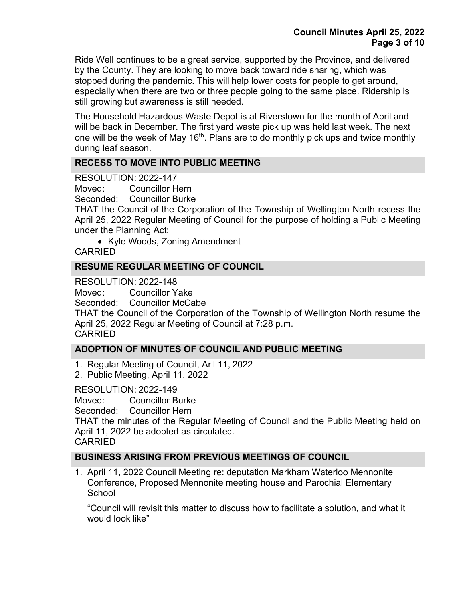Ride Well continues to be a great service, supported by the Province, and delivered by the County. They are looking to move back toward ride sharing, which was stopped during the pandemic. This will help lower costs for people to get around, especially when there are two or three people going to the same place. Ridership is still growing but awareness is still needed.

The Household Hazardous Waste Depot is at Riverstown for the month of April and will be back in December. The first yard waste pick up was held last week. The next one will be the week of May 16<sup>th</sup>. Plans are to do monthly pick ups and twice monthly during leaf season.

### **RECESS TO MOVE INTO PUBLIC MEETING**

RESOLUTION: 2022-147

Moved: Councillor Hern

Seconded: Councillor Burke

THAT the Council of the Corporation of the Township of Wellington North recess the April 25, 2022 Regular Meeting of Council for the purpose of holding a Public Meeting under the Planning Act:

• Kyle Woods, Zoning Amendment CARRIED

### **RESUME REGULAR MEETING OF COUNCIL**

RESOLUTION: 2022-148

Moved: Councillor Yake

Seconded: Councillor McCabe

THAT the Council of the Corporation of the Township of Wellington North resume the April 25, 2022 Regular Meeting of Council at 7:28 p.m. CARRIED

# **ADOPTION OF MINUTES OF COUNCIL AND PUBLIC MEETING**

- 1. Regular Meeting of Council, Aril 11, 2022
- 2. Public Meeting, April 11, 2022

RESOLUTION: 2022-149

Moved: Councillor Burke

Seconded: Councillor Hern

THAT the minutes of the Regular Meeting of Council and the Public Meeting held on April 11, 2022 be adopted as circulated.

CARRIED

# **BUSINESS ARISING FROM PREVIOUS MEETINGS OF COUNCIL**

1. April 11, 2022 Council Meeting re: deputation Markham Waterloo Mennonite Conference, Proposed Mennonite meeting house and Parochial Elementary **School** 

"Council will revisit this matter to discuss how to facilitate a solution, and what it would look like"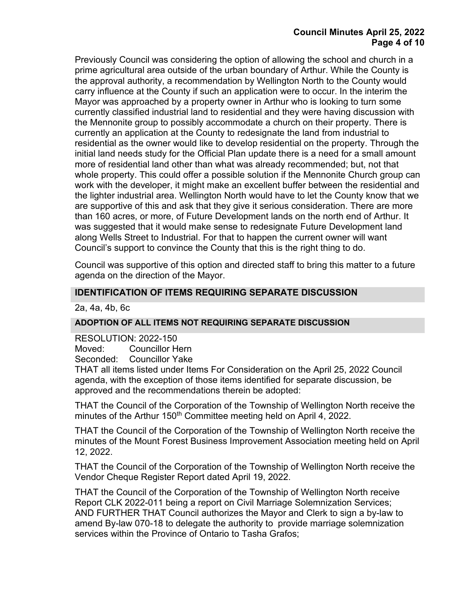### **Council Minutes April 25, 2022 Page 4 of 10**

Previously Council was considering the option of allowing the school and church in a prime agricultural area outside of the urban boundary of Arthur. While the County is the approval authority, a recommendation by Wellington North to the County would carry influence at the County if such an application were to occur. In the interim the Mayor was approached by a property owner in Arthur who is looking to turn some currently classified industrial land to residential and they were having discussion with the Mennonite group to possibly accommodate a church on their property. There is currently an application at the County to redesignate the land from industrial to residential as the owner would like to develop residential on the property. Through the initial land needs study for the Official Plan update there is a need for a small amount more of residential land other than what was already recommended; but, not that whole property. This could offer a possible solution if the Mennonite Church group can work with the developer, it might make an excellent buffer between the residential and the lighter industrial area. Wellington North would have to let the County know that we are supportive of this and ask that they give it serious consideration. There are more than 160 acres, or more, of Future Development lands on the north end of Arthur. It was suggested that it would make sense to redesignate Future Development land along Wells Street to Industrial. For that to happen the current owner will want Council's support to convince the County that this is the right thing to do.

Council was supportive of this option and directed staff to bring this matter to a future agenda on the direction of the Mayor.

### **IDENTIFICATION OF ITEMS REQUIRING SEPARATE DISCUSSION**

2a, 4a, 4b, 6c

### **ADOPTION OF ALL ITEMS NOT REQUIRING SEPARATE DISCUSSION**

RESOLUTION: 2022-150 Moved: Councillor Hern<br>Seconded: Councillor Yake Councillor Yake

THAT all items listed under Items For Consideration on the April 25, 2022 Council agenda, with the exception of those items identified for separate discussion, be approved and the recommendations therein be adopted:

THAT the Council of the Corporation of the Township of Wellington North receive the minutes of the Arthur 150<sup>th</sup> Committee meeting held on April 4, 2022.

THAT the Council of the Corporation of the Township of Wellington North receive the minutes of the Mount Forest Business Improvement Association meeting held on April 12, 2022.

THAT the Council of the Corporation of the Township of Wellington North receive the Vendor Cheque Register Report dated April 19, 2022.

THAT the Council of the Corporation of the Township of Wellington North receive Report CLK 2022-011 being a report on Civil Marriage Solemnization Services; AND FURTHER THAT Council authorizes the Mayor and Clerk to sign a by-law to amend By-law 070-18 to delegate the authority to provide marriage solemnization services within the Province of Ontario to Tasha Grafos;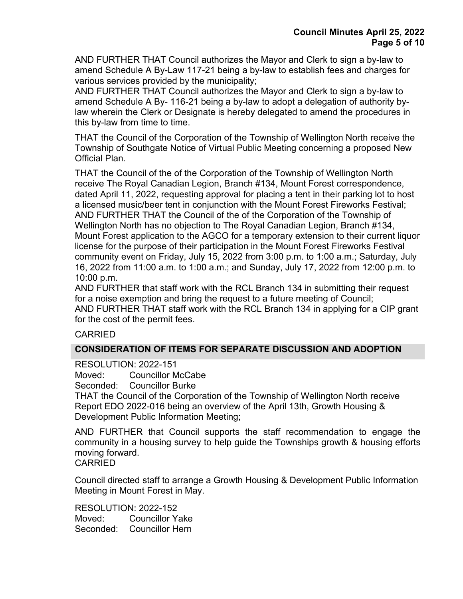AND FURTHER THAT Council authorizes the Mayor and Clerk to sign a by-law to amend Schedule A By-Law 117-21 being a by-law to establish fees and charges for various services provided by the municipality;

AND FURTHER THAT Council authorizes the Mayor and Clerk to sign a by-law to amend Schedule A By- 116-21 being a by-law to adopt a delegation of authority bylaw wherein the Clerk or Designate is hereby delegated to amend the procedures in this by-law from time to time.

THAT the Council of the Corporation of the Township of Wellington North receive the Township of Southgate Notice of Virtual Public Meeting concerning a proposed New Official Plan.

THAT the Council of the of the Corporation of the Township of Wellington North receive The Royal Canadian Legion, Branch #134, Mount Forest correspondence, dated April 11, 2022, requesting approval for placing a tent in their parking lot to host a licensed music/beer tent in conjunction with the Mount Forest Fireworks Festival; AND FURTHER THAT the Council of the of the Corporation of the Township of Wellington North has no objection to The Royal Canadian Legion, Branch #134, Mount Forest application to the AGCO for a temporary extension to their current liquor license for the purpose of their participation in the Mount Forest Fireworks Festival community event on Friday, July 15, 2022 from 3:00 p.m. to 1:00 a.m.; Saturday, July 16, 2022 from 11:00 a.m. to 1:00 a.m.; and Sunday, July 17, 2022 from 12:00 p.m. to 10:00 p.m.

AND FURTHER that staff work with the RCL Branch 134 in submitting their request for a noise exemption and bring the request to a future meeting of Council; AND FURTHER THAT staff work with the RCL Branch 134 in applying for a CIP grant for the cost of the permit fees.

# CARRIED

# **CONSIDERATION OF ITEMS FOR SEPARATE DISCUSSION AND ADOPTION**

RESOLUTION: 2022-151

Moved: Councillor McCabe

Seconded: Councillor Burke

THAT the Council of the Corporation of the Township of Wellington North receive Report EDO 2022-016 being an overview of the April 13th, Growth Housing & Development Public Information Meeting;

AND FURTHER that Council supports the staff recommendation to engage the community in a housing survey to help guide the Townships growth & housing efforts moving forward.

CARRIED

Council directed staff to arrange a Growth Housing & Development Public Information Meeting in Mount Forest in May.

RESOLUTION: 2022-152 Moved: Councillor Yake Seconded: Councillor Hern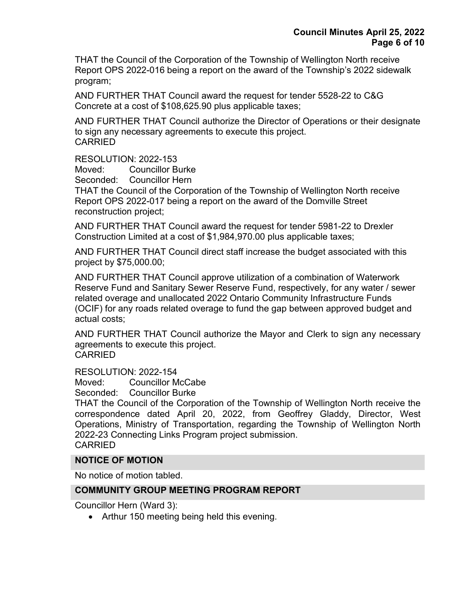THAT the Council of the Corporation of the Township of Wellington North receive Report OPS 2022-016 being a report on the award of the Township's 2022 sidewalk program;

AND FURTHER THAT Council award the request for tender 5528-22 to C&G Concrete at a cost of \$108,625.90 plus applicable taxes;

AND FURTHER THAT Council authorize the Director of Operations or their designate to sign any necessary agreements to execute this project. CARRIED

### RESOLUTION: 2022-153

Moved: Councillor Burke

Seconded: Councillor Hern

THAT the Council of the Corporation of the Township of Wellington North receive Report OPS 2022-017 being a report on the award of the Domville Street reconstruction project;

AND FURTHER THAT Council award the request for tender 5981-22 to Drexler Construction Limited at a cost of \$1,984,970.00 plus applicable taxes;

AND FURTHER THAT Council direct staff increase the budget associated with this project by \$75,000.00;

AND FURTHER THAT Council approve utilization of a combination of Waterwork Reserve Fund and Sanitary Sewer Reserve Fund, respectively, for any water / sewer related overage and unallocated 2022 Ontario Community Infrastructure Funds (OCIF) for any roads related overage to fund the gap between approved budget and actual costs;

AND FURTHER THAT Council authorize the Mayor and Clerk to sign any necessary agreements to execute this project.

CARRIED

RESOLUTION: 2022-154

Moved: Councillor McCabe

Seconded: Councillor Burke

THAT the Council of the Corporation of the Township of Wellington North receive the correspondence dated April 20, 2022, from Geoffrey Gladdy, Director, West Operations, Ministry of Transportation, regarding the Township of Wellington North 2022-23 Connecting Links Program project submission. CARRIED

### **NOTICE OF MOTION**

No notice of motion tabled.

### **COMMUNITY GROUP MEETING PROGRAM REPORT**

Councillor Hern (Ward 3):

• Arthur 150 meeting being held this evening.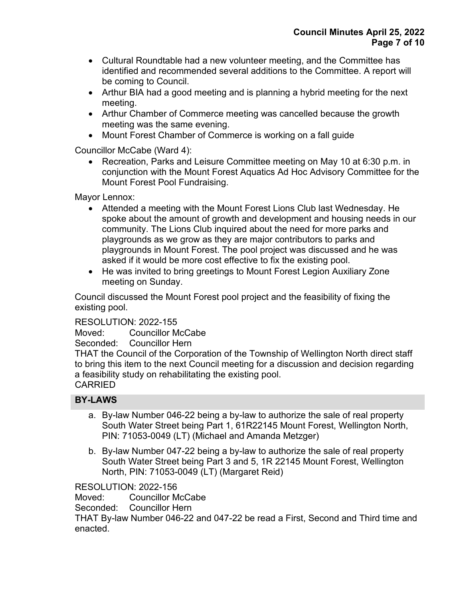- Cultural Roundtable had a new volunteer meeting, and the Committee has identified and recommended several additions to the Committee. A report will be coming to Council.
- Arthur BIA had a good meeting and is planning a hybrid meeting for the next meeting.
- Arthur Chamber of Commerce meeting was cancelled because the growth meeting was the same evening.
- Mount Forest Chamber of Commerce is working on a fall guide

Councillor McCabe (Ward 4):

• Recreation, Parks and Leisure Committee meeting on May 10 at 6:30 p.m. in conjunction with the Mount Forest Aquatics Ad Hoc Advisory Committee for the Mount Forest Pool Fundraising.

Mayor Lennox:

- Attended a meeting with the Mount Forest Lions Club last Wednesday. He spoke about the amount of growth and development and housing needs in our community. The Lions Club inquired about the need for more parks and playgrounds as we grow as they are major contributors to parks and playgrounds in Mount Forest. The pool project was discussed and he was asked if it would be more cost effective to fix the existing pool.
- He was invited to bring greetings to Mount Forest Legion Auxiliary Zone meeting on Sunday.

Council discussed the Mount Forest pool project and the feasibility of fixing the existing pool.

# RESOLUTION: 2022-155

Moved: Councillor McCabe

Seconded: Councillor Hern

THAT the Council of the Corporation of the Township of Wellington North direct staff to bring this item to the next Council meeting for a discussion and decision regarding a feasibility study on rehabilitating the existing pool. **CARRIED** 

# **BY-LAWS**

- a. By-law Number 046-22 being a by-law to authorize the sale of real property South Water Street being Part 1, 61R22145 Mount Forest, Wellington North, PIN: 71053-0049 (LT) (Michael and Amanda Metzger)
- b. By-law Number 047-22 being a by-law to authorize the sale of real property South Water Street being Part 3 and 5, 1R 22145 Mount Forest, Wellington North, PIN: 71053-0049 (LT) (Margaret Reid)

RESOLUTION: 2022-156

Moved: Councillor McCabe

Seconded: Councillor Hern

THAT By-law Number 046-22 and 047-22 be read a First, Second and Third time and enacted.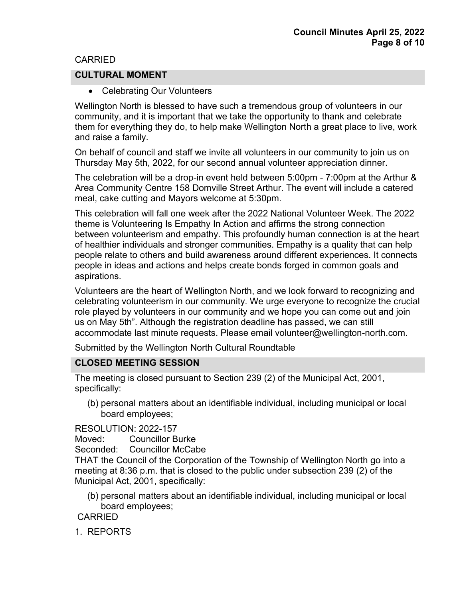### CARRIED

### **CULTURAL MOMENT**

• Celebrating Our Volunteers

Wellington North is blessed to have such a tremendous group of volunteers in our community, and it is important that we take the opportunity to thank and celebrate them for everything they do, to help make Wellington North a great place to live, work and raise a family.

On behalf of council and staff we invite all volunteers in our community to join us on Thursday May 5th, 2022, for our second annual volunteer appreciation dinner.

The celebration will be a drop-in event held between 5:00pm - 7:00pm at the Arthur & Area Community Centre 158 Domville Street Arthur. The event will include a catered meal, cake cutting and Mayors welcome at 5:30pm.

This celebration will fall one week after the 2022 National Volunteer Week. The 2022 theme is Volunteering Is Empathy In Action and affirms the strong connection between volunteerism and empathy. This profoundly human connection is at the heart of healthier individuals and stronger communities. Empathy is a quality that can help people relate to others and build awareness around different experiences. It connects people in ideas and actions and helps create bonds forged in common goals and aspirations.

Volunteers are the heart of Wellington North, and we look forward to recognizing and celebrating volunteerism in our community. We urge everyone to recognize the crucial role played by volunteers in our community and we hope you can come out and join us on May 5th". Although the registration deadline has passed, we can still accommodate last minute requests. Please email volunteer@wellington-north.com.

Submitted by the Wellington North Cultural Roundtable

### **CLOSED MEETING SESSION**

The meeting is closed pursuant to Section 239 (2) of the Municipal Act, 2001, specifically:

(b) personal matters about an identifiable individual, including municipal or local board employees;

RESOLUTION: 2022-157

Moved: Councillor Burke

Seconded: Councillor McCabe

THAT the Council of the Corporation of the Township of Wellington North go into a meeting at 8:36 p.m. that is closed to the public under subsection 239 (2) of the Municipal Act, 2001, specifically:

(b) personal matters about an identifiable individual, including municipal or local board employees;

CARRIED

1. REPORTS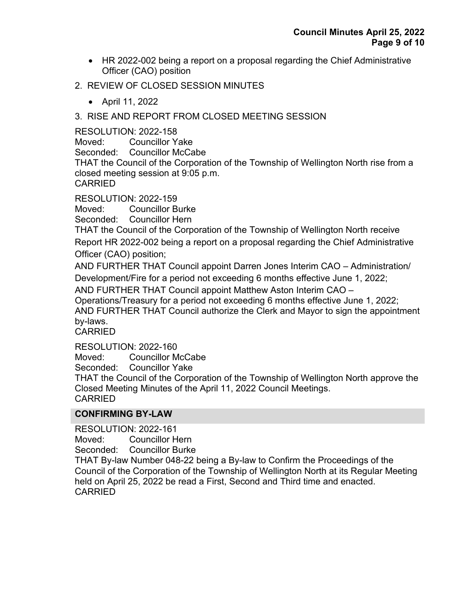- HR 2022-002 being a report on a proposal regarding the Chief Administrative Officer (CAO) position
- 2. REVIEW OF CLOSED SESSION MINUTES
	- April 11, 2022

# 3. RISE AND REPORT FROM CLOSED MEETING SESSION

# RESOLUTION: 2022-158

Moved: Councillor Yake

Seconded: Councillor McCabe

THAT the Council of the Corporation of the Township of Wellington North rise from a closed meeting session at 9:05 p.m.

CARRIED

RESOLUTION: 2022-159

Moved: Councillor Burke

Seconded: Councillor Hern

THAT the Council of the Corporation of the Township of Wellington North receive Report HR 2022-002 being a report on a proposal regarding the Chief Administrative Officer (CAO) position;

AND FURTHER THAT Council appoint Darren Jones Interim CAO – Administration/ Development/Fire for a period not exceeding 6 months effective June 1, 2022;

AND FURTHER THAT Council appoint Matthew Aston Interim CAO –

Operations/Treasury for a period not exceeding 6 months effective June 1, 2022;

AND FURTHER THAT Council authorize the Clerk and Mayor to sign the appointment by-laws.

CARRIED

RESOLUTION: 2022-160

Moved: Councillor McCabe

Seconded: Councillor Yake

THAT the Council of the Corporation of the Township of Wellington North approve the Closed Meeting Minutes of the April 11, 2022 Council Meetings. CARRIED

# **CONFIRMING BY-LAW**

RESOLUTION: 2022-161 Moved: Councillor Hern Seconded: Councillor Burke THAT By-law Number 048-22 being a By-law to Confirm the Proceedings of the Council of the Corporation of the Township of Wellington North at its Regular Meeting held on April 25, 2022 be read a First, Second and Third time and enacted. CARRIED